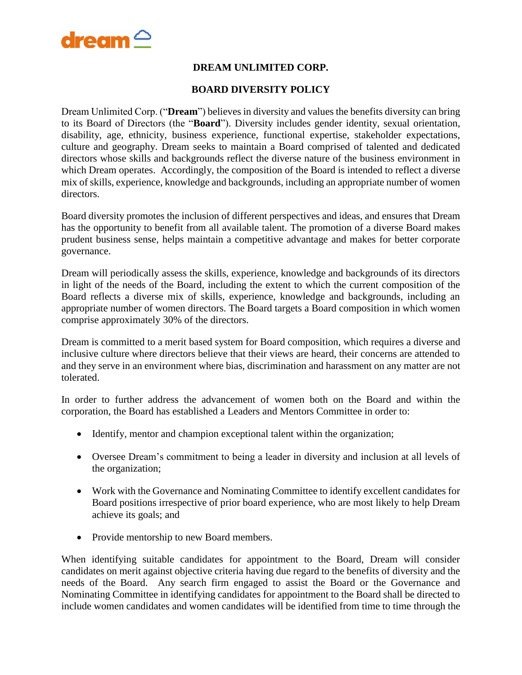

## **DREAM UNLIMITED CORP.**

## **BOARD DIVERSITY POLICY**

Dream Unlimited Corp. ("**Dream**") believes in diversity and values the benefits diversity can bring to its Board of Directors (the "**Board**"). Diversity includes gender identity, sexual orientation, disability, age, ethnicity, business experience, functional expertise, stakeholder expectations, culture and geography. Dream seeks to maintain a Board comprised of talented and dedicated directors whose skills and backgrounds reflect the diverse nature of the business environment in which Dream operates. Accordingly, the composition of the Board is intended to reflect a diverse mix of skills, experience, knowledge and backgrounds, including an appropriate number of women directors.

Board diversity promotes the inclusion of different perspectives and ideas, and ensures that Dream has the opportunity to benefit from all available talent. The promotion of a diverse Board makes prudent business sense, helps maintain a competitive advantage and makes for better corporate governance.

Dream will periodically assess the skills, experience, knowledge and backgrounds of its directors in light of the needs of the Board, including the extent to which the current composition of the Board reflects a diverse mix of skills, experience, knowledge and backgrounds, including an appropriate number of women directors. The Board targets a Board composition in which women comprise approximately 30% of the directors.

Dream is committed to a merit based system for Board composition, which requires a diverse and inclusive culture where directors believe that their views are heard, their concerns are attended to and they serve in an environment where bias, discrimination and harassment on any matter are not tolerated.

In order to further address the advancement of women both on the Board and within the corporation, the Board has established a Leaders and Mentors Committee in order to:

- Identify, mentor and champion exceptional talent within the organization;
- Oversee Dream's commitment to being a leader in diversity and inclusion at all levels of the organization;
- Work with the Governance and Nominating Committee to identify excellent candidates for Board positions irrespective of prior board experience, who are most likely to help Dream achieve its goals; and
- Provide mentorship to new Board members.

When identifying suitable candidates for appointment to the Board, Dream will consider candidates on merit against objective criteria having due regard to the benefits of diversity and the needs of the Board. Any search firm engaged to assist the Board or the Governance and Nominating Committee in identifying candidates for appointment to the Board shall be directed to include women candidates and women candidates will be identified from time to time through the